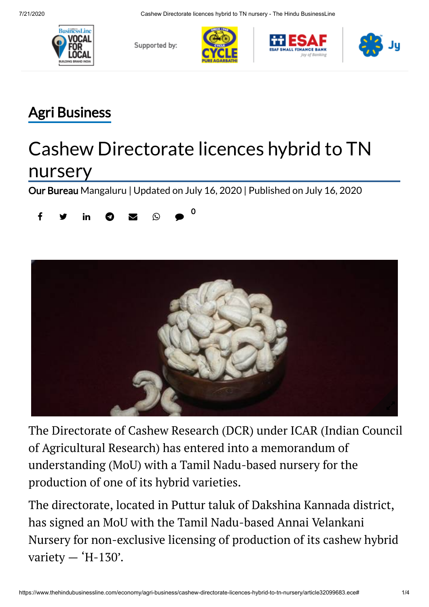

Supported by:





## Agri [Business](https://www.thehindubusinessline.com/economy/agri-business/)

## Cashew Directorate licences hybrid to TN nursery

Our [Bureau](https://www.thehindubusinessline.com/profile/author/Our-Bureau-15447/) Mangaluru | Updated on July 16, 2020 | Published on July 16, 2020





The Directorate of Cashew Research (DCR) under ICAR (Indian Council of Agricultural Research) has entered into a memorandum of understanding (MoU) with a Tamil Nadu-based nursery for the production of one of its hybrid varieties.

The directorate, located in Puttur taluk of Dakshina Kannada district, has signed an MoU with the Tamil Nadu-based Annai Velankani Nursery for non-exclusive licensing of production of its cashew hybrid variety  $-$  'H-130'.